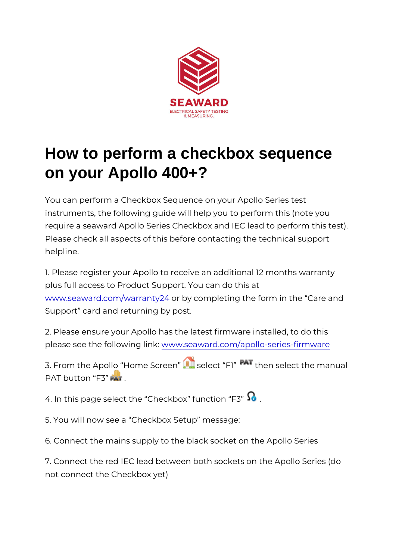## How to perform a checkbox sequence on your Apollo 400+?

You can perform a Checkbox Sequence on your Apollo Series instruments, the following guide will help you to perform this require a seaward Apollo Series Checkbox and IEC lead to pe Please check all aspects of this before contacting the technic helpline.

1. Please register your Apollo to receive an additional 12 mon plus full access to Product Support. You can do this at [www.seaward.com/war](/warranty24)rantby  $24$  completing the form in the Care Support card and returning by post.

2. Please ensure your Apollo has the latest firmware installed please see the followwiw gy .ls a kaward.com/apollo-series-firm ware

3. From the Apollo Home Sscete eacht F1 then select the manual PAT button F3

4. In this page select the Checkbox function F3

5. You will now see a Checkbox Setup message:

6. Connect the mains supply to the black socket on the Apollo

7. Connect the red IEC lead between both sockets on the Apo not connect the Checkbox yet)